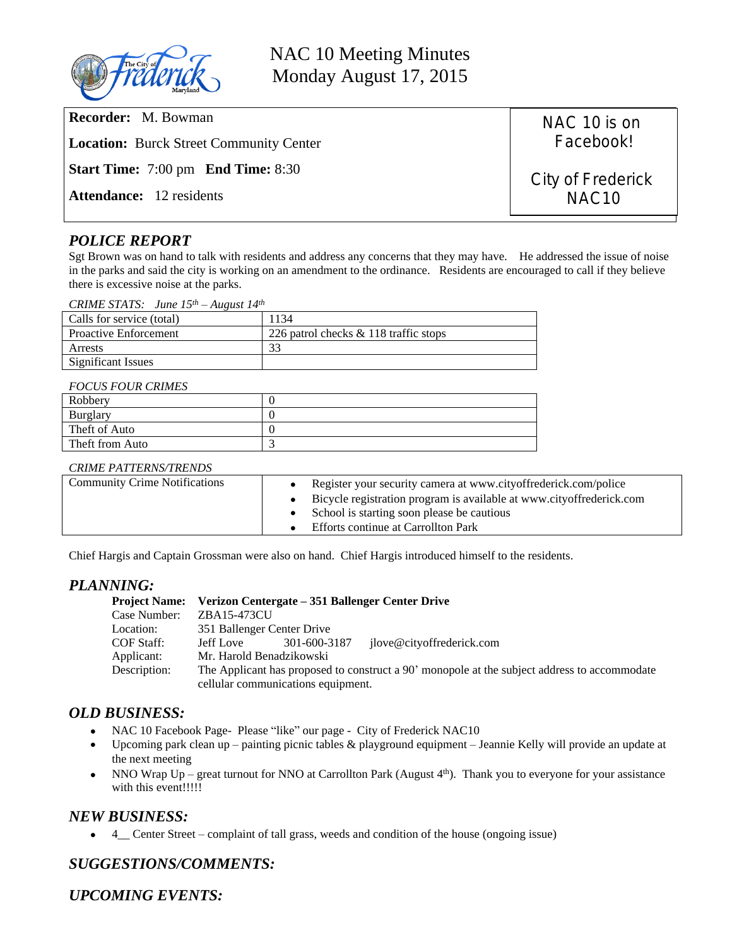

NAC 10 Meeting Minutes Monday August 17, 2015

| <b>Recorder:</b> M. Bowman                                   | NAC 10 is on      |  |
|--------------------------------------------------------------|-------------------|--|
| <b>Location:</b> Burck Street Community Center               | Facebook!         |  |
| <b>Start Time:</b> $7:00 \text{ pm}$ <b>End Time:</b> $8:30$ | City of Frederick |  |
| <b>Attendance:</b> 12 residents                              | NAC <sub>10</sub> |  |
|                                                              |                   |  |

# *POLICE REPORT*

Sgt Brown was on hand to talk with residents and address any concerns that they may have. He addressed the issue of noise in the parks and said the city is working on an amendment to the ordinance. Residents are encouraged to call if they believe there is excessive noise at the parks.

|  | CRIME STATS: June $15^{th}$ – August $14^{th}$ |
|--|------------------------------------------------|
|--|------------------------------------------------|

| Calls for service (total)    | 1134                                  |
|------------------------------|---------------------------------------|
| <b>Proactive Enforcement</b> | 226 patrol checks & 118 traffic stops |
| Arrests                      |                                       |
| Significant Issues           |                                       |

#### *FOCUS FOUR CRIMES*

| - - - - - - - - - - - - - - - - |  |  |
|---------------------------------|--|--|
| Robbery                         |  |  |
| Burglary                        |  |  |
| Theft of Auto                   |  |  |
| Theft from Auto                 |  |  |

#### *CRIME PATTERNS/TRENDS*

| <b>Community Crime Notifications</b> | • Register your security camera at www.cityoffrederick.com/police<br>• Bicycle registration program is available at www.cityoffrederick.com<br>• School is starting soon please be cautious<br>Efforts continue at Carrollton Park |
|--------------------------------------|------------------------------------------------------------------------------------------------------------------------------------------------------------------------------------------------------------------------------------|
|--------------------------------------|------------------------------------------------------------------------------------------------------------------------------------------------------------------------------------------------------------------------------------|

Chief Hargis and Captain Grossman were also on hand. Chief Hargis introduced himself to the residents.

## *PLANNING:*

| Project Name: Verizon Centergate – 351 Ballenger Center Drive                                |              |                                                                                              |  |
|----------------------------------------------------------------------------------------------|--------------|----------------------------------------------------------------------------------------------|--|
| ZBA15-473CU                                                                                  |              |                                                                                              |  |
|                                                                                              |              |                                                                                              |  |
| Jeff Love                                                                                    | 301-600-3187 | ilove@cityoffrederick.com                                                                    |  |
|                                                                                              |              |                                                                                              |  |
| The Applicant has proposed to construct a 90' monopole at the subject address to accommodate |              |                                                                                              |  |
|                                                                                              |              |                                                                                              |  |
|                                                                                              |              | 351 Ballenger Center Drive<br>Mr. Harold Benadzikowski<br>cellular communications equipment. |  |

### *OLD BUSINESS:*

- NAC 10 Facebook Page- Please "like" our page City of Frederick NAC10
- Upcoming park clean up painting picnic tables & playground equipment Jeannie Kelly will provide an update at the next meeting
- NNO Wrap  $Up -$  great turnout for NNO at Carrollton Park (August  $4<sup>th</sup>$ ). Thank you to everyone for your assistance with this event!!!!!

### *NEW BUSINESS:*

4\_\_ Center Street – complaint of tall grass, weeds and condition of the house (ongoing issue)

# *SUGGESTIONS/COMMENTS:*

*UPCOMING EVENTS:*